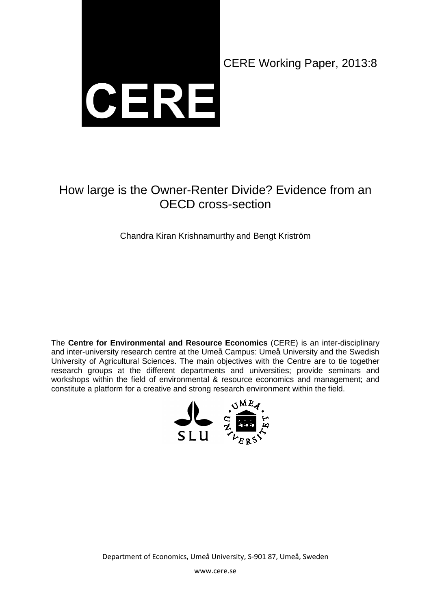

CERE Working Paper, 2013:8

## How large is the Owner-Renter Divide? Evidence from an OECD cross-section

Chandra Kiran Krishnamurthy and Bengt Kriström

The **Centre for Environmental and Resource Economics** (CERE) is an inter-disciplinary and inter-university research centre at the Umeå Campus: Umeå University and the Swedish University of Agricultural Sciences. The main objectives with the Centre are to tie together research groups at the different departments and universities; provide seminars and workshops within the field of environmental & resource economics and management; and constitute a platform for a creative and strong research environment within the field.



Department of Economics, Umeå University, S-901 87, Umeå, Sweden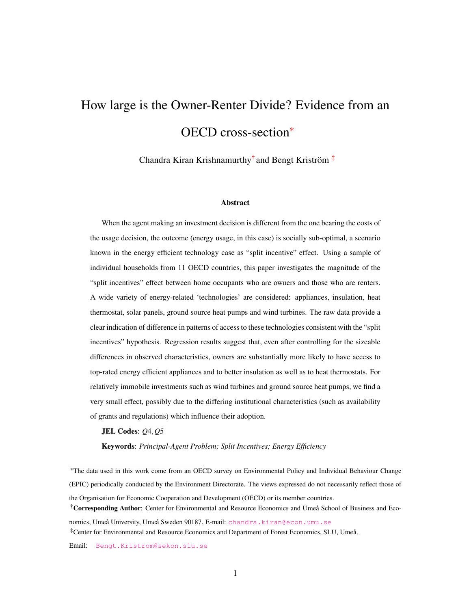# <span id="page-1-0"></span>How large is the Owner-Renter Divide? Evidence from an OECD cross-section<sup>∗</sup>

Chandra Kiran Krishnamurthy<sup>†</sup> and Bengt Kriström<sup>‡</sup>

#### Abstract

When the agent making an investment decision is different from the one bearing the costs of the usage decision, the outcome (energy usage, in this case) is socially sub-optimal, a scenario known in the energy efficient technology case as "split incentive" effect. Using a sample of individual households from 11 OECD countries, this paper investigates the magnitude of the "split incentives" effect between home occupants who are owners and those who are renters. A wide variety of energy-related 'technologies' are considered: appliances, insulation, heat thermostat, solar panels, ground source heat pumps and wind turbines. The raw data provide a clear indication of difference in patterns of access to these technologies consistent with the "split incentives" hypothesis. Regression results suggest that, even after controlling for the sizeable differences in observed characteristics, owners are substantially more likely to have access to top-rated energy efficient appliances and to better insulation as well as to heat thermostats. For relatively immobile investments such as wind turbines and ground source heat pumps, we find a very small effect, possibly due to the differing institutional characteristics (such as availability of grants and regulations) which influence their adoption.

JEL Codes: *Q*4,*Q*5

Keywords: *Principal-Agent Problem; Split Incentives; Energy Efficiency*

<sup>∗</sup>The data used in this work come from an OECD survey on Environmental Policy and Individual Behaviour Change

(EPIC) periodically conducted by the Environment Directorate. The views expressed do not necessarily reflect those of

the Organisation for Economic Cooperation and Development (OECD) or its member countries. †Corresponding Author: Center for Environmental and Resource Economics and Umeå School of Business and Eco-

nomics, Umeå University, Umeå Sweden 90187. E-mail: [chandra.kiran@econ.umu.se](mailto:chandra.kiran@econ.umu.se) ‡Center for Environmental and Resource Economics and Department of Forest Economics, SLU, Umeå.

Email: [Bengt.Kristrom@sekon.slu.se](mailto:Bengt.Kristrom@sekon.slu.se)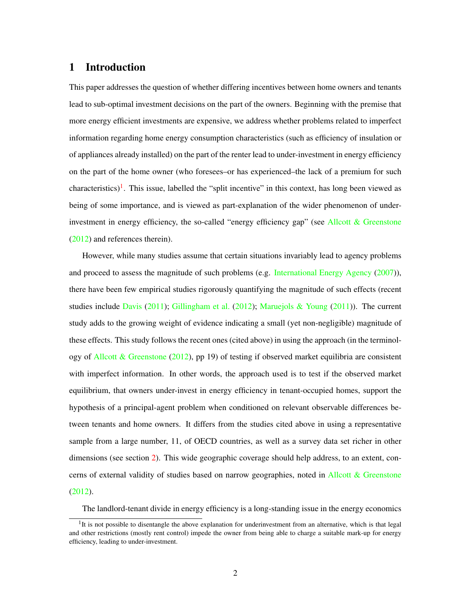## <span id="page-2-0"></span>1 Introduction

This paper addresses the question of whether differing incentives between home owners and tenants lead to sub-optimal investment decisions on the part of the owners. Beginning with the premise that more energy efficient investments are expensive, we address whether problems related to imperfect information regarding home energy consumption characteristics (such as efficiency of insulation or of appliances already installed) on the part of the renter lead to under-investment in energy efficiency on the part of the home owner (who foresees–or has experienced–the lack of a premium for such characteristics)<sup>[1](#page-1-0)</sup>. This issue, labelled the "split incentive" in this context, has long been viewed as being of some importance, and is viewed as part-explanation of the wider phenomenon of underinvestment in energy efficiency, the so-called "energy efficiency gap" (see [Allcott & Greenstone](#page-24-0) [\(2012\)](#page-24-0) and references therein).

However, while many studies assume that certain situations invariably lead to agency problems and proceed to assess the magnitude of such problems (e.g. [International Energy Agency](#page-25-0) [\(2007\)](#page-25-0)), there have been few empirical studies rigorously quantifying the magnitude of such effects (recent studies include [Davis](#page-24-1) [\(2011\)](#page-25-1); [Gillingham et al.](#page-24-2) [\(2012\)](#page-24-2); [Maruejols & Young](#page-25-1) (2011)). The current study adds to the growing weight of evidence indicating a small (yet non-negligible) magnitude of these effects. This study follows the recent ones (cited above) in using the approach (in the terminol-ogy of [Allcott & Greenstone](#page-24-0)  $(2012)$ , pp 19) of testing if observed market equilibria are consistent with imperfect information. In other words, the approach used is to test if the observed market equilibrium, that owners under-invest in energy efficiency in tenant-occupied homes, support the hypothesis of a principal-agent problem when conditioned on relevant observable differences between tenants and home owners. It differs from the studies cited above in using a representative sample from a large number, 11, of OECD countries, as well as a survey data set richer in other dimensions (see section [2\)](#page-5-0). This wide geographic coverage should help address, to an extent, concerns of external validity of studies based on narrow geographies, noted in [Allcott & Greenstone](#page-24-0) [\(2012\)](#page-24-0).

The landlord-tenant divide in energy efficiency is a long-standing issue in the energy economics

 $1$ It is not possible to disentangle the above explanation for underinvestment from an alternative, which is that legal and other restrictions (mostly rent control) impede the owner from being able to charge a suitable mark-up for energy efficiency, leading to under-investment.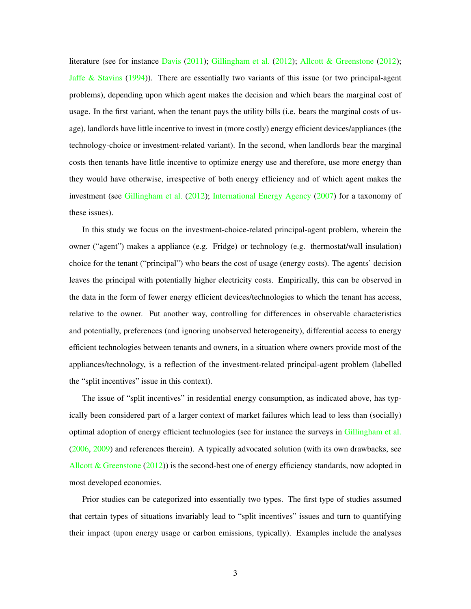literature (see for instance [Davis](#page-24-1) [\(2011\)](#page-24-1); [Gillingham et al.](#page-24-2) [\(2012\)](#page-24-2); [Allcott & Greenstone](#page-24-0) [\(2012\)](#page-24-0); [Jaffe & Stavins](#page-25-2)  $(1994)$ ). There are essentially two variants of this issue (or two principal-agent problems), depending upon which agent makes the decision and which bears the marginal cost of usage. In the first variant, when the tenant pays the utility bills (i.e. bears the marginal costs of usage), landlords have little incentive to invest in (more costly) energy efficient devices/appliances (the technology-choice or investment-related variant). In the second, when landlords bear the marginal costs then tenants have little incentive to optimize energy use and therefore, use more energy than they would have otherwise, irrespective of both energy efficiency and of which agent makes the investment (see [Gillingham et al.](#page-24-2) [\(2012\)](#page-24-2); [International Energy Agency](#page-25-0) [\(2007\)](#page-25-0) for a taxonomy of these issues).

In this study we focus on the investment-choice-related principal-agent problem, wherein the owner ("agent") makes a appliance (e.g. Fridge) or technology (e.g. thermostat/wall insulation) choice for the tenant ("principal") who bears the cost of usage (energy costs). The agents' decision leaves the principal with potentially higher electricity costs. Empirically, this can be observed in the data in the form of fewer energy efficient devices/technologies to which the tenant has access, relative to the owner. Put another way, controlling for differences in observable characteristics and potentially, preferences (and ignoring unobserved heterogeneity), differential access to energy efficient technologies between tenants and owners, in a situation where owners provide most of the appliances/technology, is a reflection of the investment-related principal-agent problem (labelled the "split incentives" issue in this context).

The issue of "split incentives" in residential energy consumption, as indicated above, has typically been considered part of a larger context of market failures which lead to less than (socially) optimal adoption of energy efficient technologies (see for instance the surveys in [Gillingham et al.](#page-24-3) [\(2006,](#page-24-3) [2009\)](#page-25-3) and references therein). A typically advocated solution (with its own drawbacks, see [Allcott & Greenstone](#page-24-0) [\(2012\)](#page-24-0)) is the second-best one of energy efficiency standards, now adopted in most developed economies.

Prior studies can be categorized into essentially two types. The first type of studies assumed that certain types of situations invariably lead to "split incentives" issues and turn to quantifying their impact (upon energy usage or carbon emissions, typically). Examples include the analyses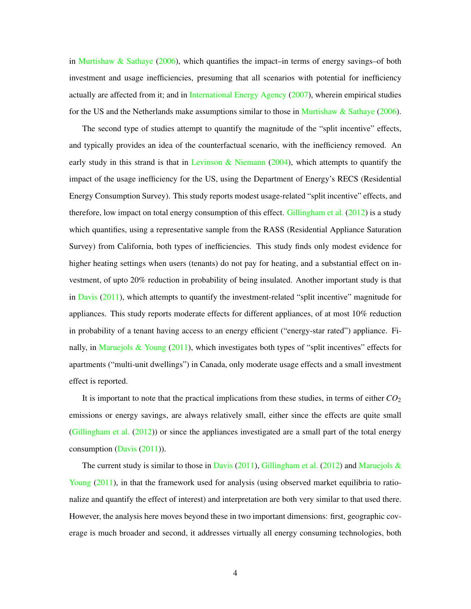in [Murtishaw & Sathaye](#page-25-4) [\(2006\)](#page-25-4), which quantifies the impact–in terms of energy savings–of both investment and usage inefficiencies, presuming that all scenarios with potential for inefficiency actually are affected from it; and in [International Energy Agency](#page-25-0) [\(2007\)](#page-25-0), wherein empirical studies for the US and the Netherlands make assumptions similar to those in [Murtishaw & Sathaye](#page-25-4) [\(2006\)](#page-25-4).

The second type of studies attempt to quantify the magnitude of the "split incentive" effects, and typically provides an idea of the counterfactual scenario, with the inefficiency removed. An early study in this strand is that in Levinson  $\&$  Niemann [\(2004\)](#page-25-5), which attempts to quantify the impact of the usage inefficiency for the US, using the Department of Energy's RECS (Residential Energy Consumption Survey). This study reports modest usage-related "split incentive" effects, and therefore, low impact on total energy consumption of this effect. [Gillingham et al.](#page-24-2)  $(2012)$  is a study which quantifies, using a representative sample from the RASS (Residential Appliance Saturation Survey) from California, both types of inefficiencies. This study finds only modest evidence for higher heating settings when users (tenants) do not pay for heating, and a substantial effect on investment, of upto 20% reduction in probability of being insulated. Another important study is that in  $David_2(2011)$  $David_2(2011)$ , which attempts to quantify the investment-related "split incentive" magnitude for appliances. This study reports moderate effects for different appliances, of at most 10% reduction in probability of a tenant having access to an energy efficient ("energy-star rated") appliance. Fi-nally, in [Maruejols & Young](#page-25-1)  $(2011)$ , which investigates both types of "split incentives" effects for apartments ("multi-unit dwellings") in Canada, only moderate usage effects and a small investment effect is reported.

It is important to note that the practical implications from these studies, in terms of either  $CO<sub>2</sub>$ emissions or energy savings, are always relatively small, either since the effects are quite small [\(Gillingham et al.](#page-24-2) [\(2012\)](#page-24-2)) or since the appliances investigated are a small part of the total energy consumption  $(Davis (2011))$  $(Davis (2011))$  $(Davis (2011))$  $(Davis (2011))$ .

The current study is similar to those in [Davis](#page-24-1) [\(2011\)](#page-24-1), [Gillingham et al.](#page-24-2) [\(2012\)](#page-24-2) and Maruejols  $\&$ [Young](#page-25-1) [\(2011\)](#page-25-1), in that the framework used for analysis (using observed market equilibria to rationalize and quantify the effect of interest) and interpretation are both very similar to that used there. However, the analysis here moves beyond these in two important dimensions: first, geographic coverage is much broader and second, it addresses virtually all energy consuming technologies, both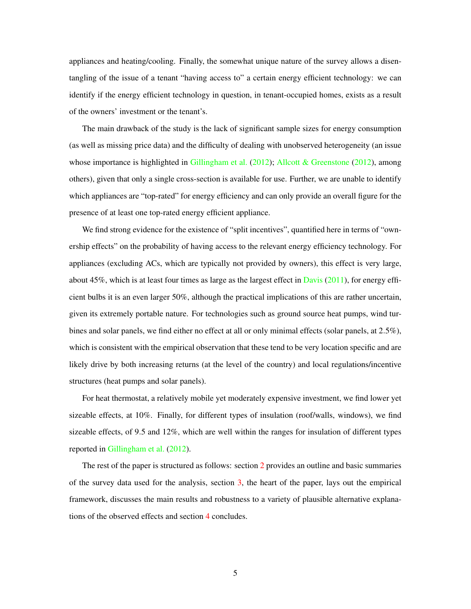appliances and heating/cooling. Finally, the somewhat unique nature of the survey allows a disentangling of the issue of a tenant "having access to" a certain energy efficient technology: we can identify if the energy efficient technology in question, in tenant-occupied homes, exists as a result of the owners' investment or the tenant's.

The main drawback of the study is the lack of significant sample sizes for energy consumption (as well as missing price data) and the difficulty of dealing with unobserved heterogeneity (an issue whose importance is highlighted in [Gillingham et al.](#page-24-2) [\(2012\)](#page-24-0); [Allcott & Greenstone](#page-24-0) (2012), among others), given that only a single cross-section is available for use. Further, we are unable to identify which appliances are "top-rated" for energy efficiency and can only provide an overall figure for the presence of at least one top-rated energy efficient appliance.

We find strong evidence for the existence of "split incentives", quantified here in terms of "ownership effects" on the probability of having access to the relevant energy efficiency technology. For appliances (excluding ACs, which are typically not provided by owners), this effect is very large, about 45%, which is at least four times as large as the largest effect in  $\square$  avis [\(2011\)](#page-24-1), for energy efficient bulbs it is an even larger 50%, although the practical implications of this are rather uncertain, given its extremely portable nature. For technologies such as ground source heat pumps, wind turbines and solar panels, we find either no effect at all or only minimal effects (solar panels, at 2.5%), which is consistent with the empirical observation that these tend to be very location specific and are likely drive by both increasing returns (at the level of the country) and local regulations/incentive structures (heat pumps and solar panels).

For heat thermostat, a relatively mobile yet moderately expensive investment, we find lower yet sizeable effects, at 10%. Finally, for different types of insulation (roof/walls, windows), we find sizeable effects, of 9.5 and 12%, which are well within the ranges for insulation of different types reported in [Gillingham et al.](#page-24-2) [\(2012\)](#page-24-2).

<span id="page-5-0"></span>The rest of the paper is structured as follows: section [2](#page-5-0) provides an outline and basic summaries of the survey data used for the analysis, section [3,](#page-11-0) the heart of the paper, lays out the empirical framework, discusses the main results and robustness to a variety of plausible alternative explanations of the observed effects and section [4](#page-22-0) concludes.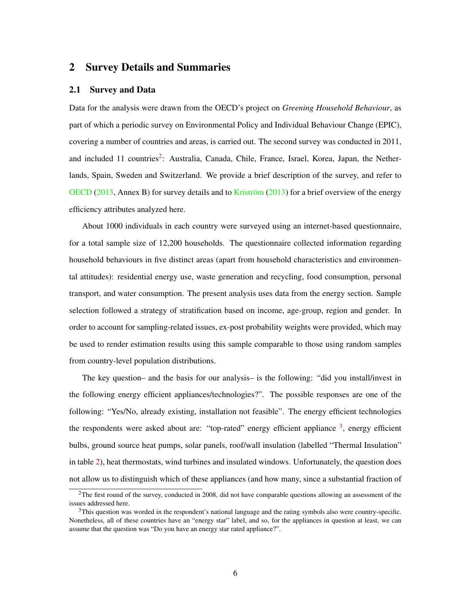## 2 Survey Details and Summaries

#### <span id="page-6-0"></span>2.1 Survey and Data

Data for the analysis were drawn from the OECD's project on *Greening Household Behaviour*, as part of which a periodic survey on Environmental Policy and Individual Behaviour Change (EPIC), covering a number of countries and areas, is carried out. The second survey was conducted in 2011, and included 11 countries<sup>[2](#page-1-0)</sup>: Australia, Canada, Chile, France, Israel, Korea, Japan, the Netherlands, Spain, Sweden and Switzerland. We provide a brief description of the survey, and refer to [OECD](#page-25-6) [\(2013,](#page-25-6) Annex B) for survey details and to [Kriström](#page-25-7) [\(2013\)](#page-25-7) for a brief overview of the energy efficiency attributes analyzed here.

About 1000 individuals in each country were surveyed using an internet-based questionnaire, for a total sample size of 12,200 households. The questionnaire collected information regarding household behaviours in five distinct areas (apart from household characteristics and environmental attitudes): residential energy use, waste generation and recycling, food consumption, personal transport, and water consumption. The present analysis uses data from the energy section. Sample selection followed a strategy of stratification based on income, age-group, region and gender. In order to account for sampling-related issues, ex-post probability weights were provided, which may be used to render estimation results using this sample comparable to those using random samples from country-level population distributions.

The key question– and the basis for our analysis– is the following: "did you install/invest in the following energy efficient appliances/technologies?". The possible responses are one of the following: "Yes/No, already existing, installation not feasible". The energy efficient technologies the respondents were asked about are: "top-rated" energy efficient appliance <sup>[3](#page-1-0)</sup>, energy efficient bulbs, ground source heat pumps, solar panels, roof/wall insulation (labelled "Thermal Insulation" in table [2\)](#page-10-0), heat thermostats, wind turbines and insulated windows. Unfortunately, the question does not allow us to distinguish which of these appliances (and how many, since a substantial fraction of

 $2$ The first round of the survey, conducted in 2008, did not have comparable questions allowing an assessment of the issues addressed here.

 $3$ This question was worded in the respondent's national language and the rating symbols also were country-specific. Nonetheless, all of these countries have an "energy star" label, and so, for the appliances in question at least, we can assume that the question was "Do you have an energy star rated appliance?".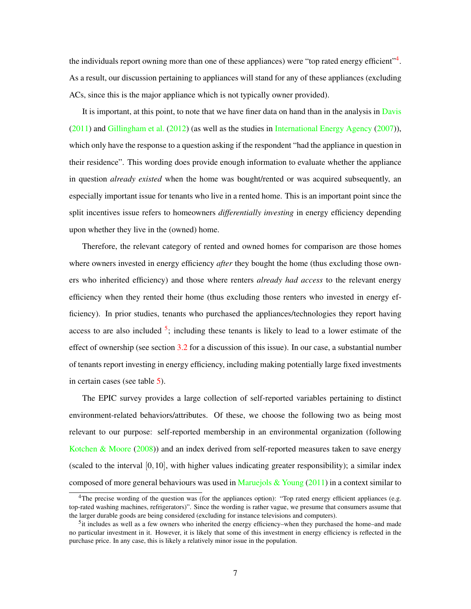the individuals report owning more than one of these appliances) were "top rated energy efficient"<sup>[4](#page-1-0)</sup>. As a result, our discussion pertaining to appliances will stand for any of these appliances (excluding ACs, since this is the major appliance which is not typically owner provided).

It is important, at this point, to note that we have finer data on hand than in the analysis in [Davis](#page-24-1)  $(2011)$  and [Gillingham et al.](#page-24-2)  $(2012)$  (as well as the studies in [International Energy Agency](#page-25-0)  $(2007)$ ), which only have the response to a question asking if the respondent "had the appliance in question in their residence". This wording does provide enough information to evaluate whether the appliance in question *already existed* when the home was bought/rented or was acquired subsequently, an especially important issue for tenants who live in a rented home. This is an important point since the split incentives issue refers to homeowners *differentially investing* in energy efficiency depending upon whether they live in the (owned) home.

Therefore, the relevant category of rented and owned homes for comparison are those homes where owners invested in energy efficiency *after* they bought the home (thus excluding those owners who inherited efficiency) and those where renters *already had access* to the relevant energy efficiency when they rented their home (thus excluding those renters who invested in energy efficiency). In prior studies, tenants who purchased the appliances/technologies they report having access to are also included  $5$ ; including these tenants is likely to lead to a lower estimate of the effect of ownership (see section [3.2](#page-14-0) for a discussion of this issue). In our case, a substantial number of tenants report investing in energy efficiency, including making potentially large fixed investments in certain cases (see table [5\)](#page-26-0).

The EPIC survey provides a large collection of self-reported variables pertaining to distinct environment-related behaviors/attributes. Of these, we choose the following two as being most relevant to our purpose: self-reported membership in an environmental organization (following [Kotchen & Moore](#page-25-8)  $(2008)$  and an index derived from self-reported measures taken to save energy (scaled to the interval  $[0,10]$ , with higher values indicating greater responsibility); a similar index composed of more general behaviours was used in [Maruejols & Young](#page-25-1)  $(2011)$  in a context similar to

<sup>&</sup>lt;sup>4</sup>The precise wording of the question was (for the appliances option): "Top rated energy efficient appliances (e.g. top-rated washing machines, refrigerators)". Since the wording is rather vague, we presume that consumers assume that the larger durable goods are being considered (excluding for instance televisions and computers).

<sup>&</sup>lt;sup>5</sup>it includes as well as a few owners who inherited the energy efficiency–when they purchased the home–and made no particular investment in it. However, it is likely that some of this investment in energy efficiency is reflected in the purchase price. In any case, this is likely a relatively minor issue in the population.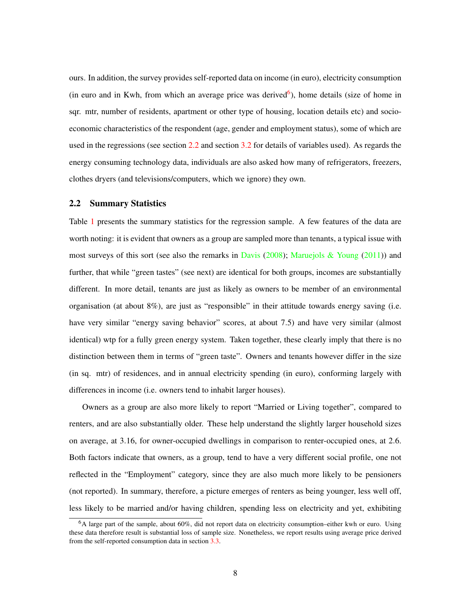ours. In addition, the survey provides self-reported data on income (in euro), electricity consumption (in euro and in Kwh, from which an average price was derived<sup>[6](#page-1-0)</sup>), home details (size of home in sqr. mtr, number of residents, apartment or other type of housing, location details etc) and socioeconomic characteristics of the respondent (age, gender and employment status), some of which are used in the regressions (see section [2.2](#page-8-0) and section [3.2](#page-14-0) for details of variables used). As regards the energy consuming technology data, individuals are also asked how many of refrigerators, freezers, clothes dryers (and televisions/computers, which we ignore) they own.

#### <span id="page-8-0"></span>2.2 Summary Statistics

Table [1](#page-9-0) presents the summary statistics for the regression sample. A few features of the data are worth noting: it is evident that owners as a group are sampled more than tenants, a typical issue with most surveys of this sort (see also the remarks in [Davis](#page-24-4) [\(2008\)](#page-24-4); [Maruejols & Young](#page-25-1) [\(2011\)](#page-25-1)) and further, that while "green tastes" (see next) are identical for both groups, incomes are substantially different. In more detail, tenants are just as likely as owners to be member of an environmental organisation (at about 8%), are just as "responsible" in their attitude towards energy saving (i.e. have very similar "energy saving behavior" scores, at about 7.5) and have very similar (almost identical) wtp for a fully green energy system. Taken together, these clearly imply that there is no distinction between them in terms of "green taste". Owners and tenants however differ in the size (in sq. mtr) of residences, and in annual electricity spending (in euro), conforming largely with differences in income (i.e. owners tend to inhabit larger houses).

Owners as a group are also more likely to report "Married or Living together", compared to renters, and are also substantially older. These help understand the slightly larger household sizes on average, at 3.16, for owner-occupied dwellings in comparison to renter-occupied ones, at 2.6. Both factors indicate that owners, as a group, tend to have a very different social profile, one not reflected in the "Employment" category, since they are also much more likely to be pensioners (not reported). In summary, therefore, a picture emerges of renters as being younger, less well off, less likely to be married and/or having children, spending less on electricity and yet, exhibiting

 $6A$  large part of the sample, about 60%, did not report data on electricity consumption–either kwh or euro. Using these data therefore result is substantial loss of sample size. Nonetheless, we report results using average price derived from the self-reported consumption data in section [3.3.](#page-19-0)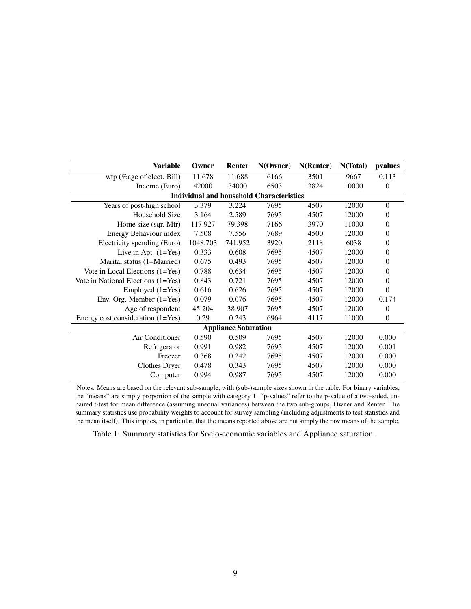<span id="page-9-0"></span>

| Variable                              | Owner    | Renter  | N(Owner)                                        | N(Renter) | N(Total) | pvalues        |  |
|---------------------------------------|----------|---------|-------------------------------------------------|-----------|----------|----------------|--|
| wtp (%age of elect. Bill)             | 11.678   | 11.688  | 6166                                            | 3501      | 9667     | 0.113          |  |
| Income (Euro)                         | 42000    | 34000   | 6503                                            | 3824      | 10000    | $\theta$       |  |
|                                       |          |         | <b>Individual and household Characteristics</b> |           |          |                |  |
| Years of post-high school             | 3.379    | 3.224   | 7695                                            | 4507      | 12000    | $\overline{0}$ |  |
| Household Size                        | 3.164    | 2.589   | 7695                                            | 4507      | 12000    | $\theta$       |  |
| Home size (sqr. Mtr)                  | 117.927  | 79.398  | 7166                                            | 3970      | 11000    | $\theta$       |  |
| Energy Behaviour index                | 7.508    | 7.556   | 7689                                            | 4500      | 12000    | $\theta$       |  |
| Electricity spending (Euro)           | 1048.703 | 741.952 | 3920                                            | 2118      | 6038     | $\theta$       |  |
| Live in Apt. $(1=Yes)$                | 0.333    | 0.608   | 7695                                            | 4507      | 12000    | $\theta$       |  |
| Marital status (1=Married)            | 0.675    | 0.493   | 7695                                            | 4507      | 12000    | $\theta$       |  |
| Vote in Local Elections $(1 = Yes)$   | 0.788    | 0.634   | 7695                                            | 4507      | 12000    | $\theta$       |  |
| Vote in National Elections (1=Yes)    | 0.843    | 0.721   | 7695                                            | 4507      | 12000    | $\theta$       |  |
| Employed (1=Yes)                      | 0.616    | 0.626   | 7695                                            | 4507      | 12000    | $\overline{0}$ |  |
| Env. Org. Member $(1 = Yes)$          | 0.079    | 0.076   | 7695                                            | 4507      | 12000    | 0.174          |  |
| Age of respondent                     | 45.204   | 38.907  | 7695                                            | 4507      | 12000    | $\theta$       |  |
| Energy cost consideration $(1 = Yes)$ | 0.29     | 0.243   | 6964                                            | 4117      | 11000    | $\theta$       |  |
| <b>Appliance Saturation</b>           |          |         |                                                 |           |          |                |  |
| Air Conditioner                       | 0.590    | 0.509   | 7695                                            | 4507      | 12000    | 0.000          |  |
| Refrigerator                          | 0.991    | 0.982   | 7695                                            | 4507      | 12000    | 0.001          |  |
| Freezer                               | 0.368    | 0.242   | 7695                                            | 4507      | 12000    | 0.000          |  |
| Clothes Dryer                         | 0.478    | 0.343   | 7695                                            | 4507      | 12000    | 0.000          |  |
| Computer                              | 0.994    | 0.987   | 7695                                            | 4507      | 12000    | 0.000          |  |

Notes: Means are based on the relevant sub-sample, with (sub-)sample sizes shown in the table. For binary variables, the "means" are simply proportion of the sample with category 1. "p-values" refer to the p-value of a two-sided, unpaired t-test for mean difference (assuming unequal variances) between the two sub-groups, Owner and Renter. The summary statistics use probability weights to account for survey sampling (including adjustments to test statistics and the mean itself). This implies, in particular, that the means reported above are not simply the raw means of the sample.

Table 1: Summary statistics for Socio-economic variables and Appliance saturation.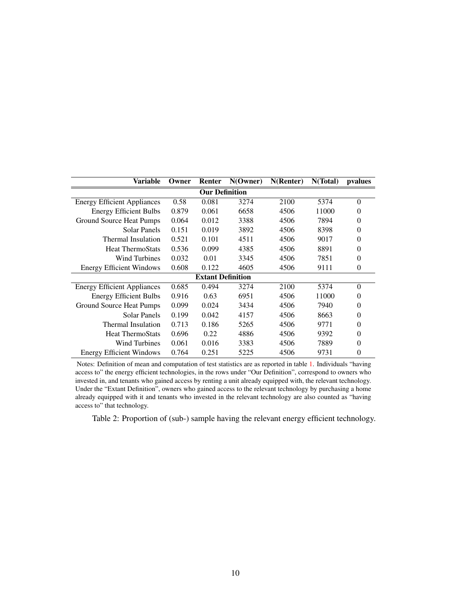<span id="page-10-0"></span>

| Variable                           | Owner | Renter | N(Owner) | N(Renter) | N(Total) | pvalues  |  |
|------------------------------------|-------|--------|----------|-----------|----------|----------|--|
| <b>Our Definition</b>              |       |        |          |           |          |          |  |
| <b>Energy Efficient Appliances</b> | 0.58  | 0.081  | 3274     | 2100      | 5374     | $\theta$ |  |
| <b>Energy Efficient Bulbs</b>      | 0.879 | 0.061  | 6658     | 4506      | 11000    | $\Omega$ |  |
| Ground Source Heat Pumps           | 0.064 | 0.012  | 3388     | 4506      | 7894     | $\Omega$ |  |
| Solar Panels                       | 0.151 | 0.019  | 3892     | 4506      | 8398     | $\Omega$ |  |
| Thermal Insulation                 | 0.521 | 0.101  | 4511     | 4506      | 9017     | $\Omega$ |  |
| <b>Heat ThermoStats</b>            | 0.536 | 0.099  | 4385     | 4506      | 8891     | $\theta$ |  |
| Wind Turbines                      | 0.032 | 0.01   | 3345     | 4506      | 7851     | 0        |  |
| <b>Energy Efficient Windows</b>    | 0.608 | 0.122  | 4605     | 4506      | 9111     | $\theta$ |  |
| <b>Extant Definition</b>           |       |        |          |           |          |          |  |
| <b>Energy Efficient Appliances</b> | 0.685 | 0.494  | 3274     | 2100      | 5374     | $\theta$ |  |
| <b>Energy Efficient Bulbs</b>      | 0.916 | 0.63   | 6951     | 4506      | 11000    | 0        |  |
| Ground Source Heat Pumps           | 0.099 | 0.024  | 3434     | 4506      | 7940     | 0        |  |
| Solar Panels                       | 0.199 | 0.042  | 4157     | 4506      | 8663     | 0        |  |
| Thermal Insulation                 | 0.713 | 0.186  | 5265     | 4506      | 9771     | $\Omega$ |  |
| <b>Heat ThermoStats</b>            | 0.696 | 0.22   | 4886     | 4506      | 9392     | $\theta$ |  |
| Wind Turbines                      | 0.061 | 0.016  | 3383     | 4506      | 7889     | $\theta$ |  |
| <b>Energy Efficient Windows</b>    | 0.764 | 0.251  | 5225     | 4506      | 9731     | 0        |  |

Notes: Definition of mean and computation of test statistics are as reported in table [1.](#page-9-0) Individuals "having access to" the energy efficient technologies, in the rows under "Our Definition", correspond to owners who invested in, and tenants who gained access by renting a unit already equipped with, the relevant technology. Under the "Extant Definition", owners who gained access to the relevant technology by purchasing a home already equipped with it and tenants who invested in the relevant technology are also counted as "having access to" that technology.

Table 2: Proportion of (sub-) sample having the relevant energy efficient technology.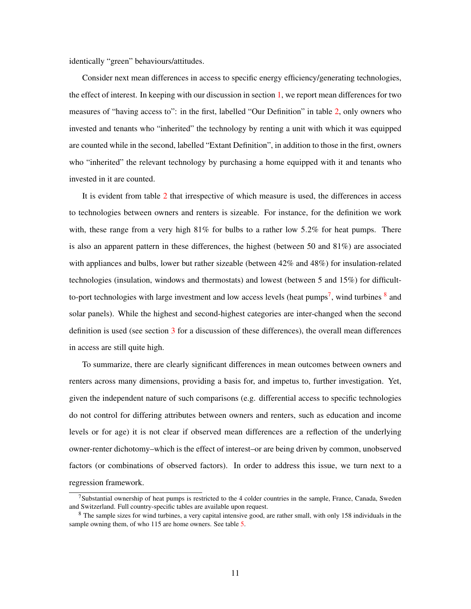identically "green" behaviours/attitudes.

Consider next mean differences in access to specific energy efficiency/generating technologies, the effect of interest. In keeping with our discussion in section [1,](#page-2-0) we report mean differences for two measures of "having access to": in the first, labelled "Our Definition" in table [2,](#page-10-0) only owners who invested and tenants who "inherited" the technology by renting a unit with which it was equipped are counted while in the second, labelled "Extant Definition", in addition to those in the first, owners who "inherited" the relevant technology by purchasing a home equipped with it and tenants who invested in it are counted.

It is evident from table [2](#page-10-0) that irrespective of which measure is used, the differences in access to technologies between owners and renters is sizeable. For instance, for the definition we work with, these range from a very high  $81\%$  for bulbs to a rather low 5.2% for heat pumps. There is also an apparent pattern in these differences, the highest (between 50 and 81%) are associated with appliances and bulbs, lower but rather sizeable (between 42% and 48%) for insulation-related technologies (insulation, windows and thermostats) and lowest (between 5 and 15%) for difficult-to-port technologies with large investment and low access levels (heat pumps<sup>[7](#page-1-0)</sup>, wind turbines  $\frac{8}{3}$  $\frac{8}{3}$  $\frac{8}{3}$  and solar panels). While the highest and second-highest categories are inter-changed when the second definition is used (see section [3](#page-11-0) for a discussion of these differences), the overall mean differences in access are still quite high.

To summarize, there are clearly significant differences in mean outcomes between owners and renters across many dimensions, providing a basis for, and impetus to, further investigation. Yet, given the independent nature of such comparisons (e.g. differential access to specific technologies do not control for differing attributes between owners and renters, such as education and income levels or for age) it is not clear if observed mean differences are a reflection of the underlying owner-renter dichotomy–which is the effect of interest–or are being driven by common, unobserved factors (or combinations of observed factors). In order to address this issue, we turn next to a regression framework.

<span id="page-11-0"></span><sup>7</sup>Substantial ownership of heat pumps is restricted to the 4 colder countries in the sample, France, Canada, Sweden and Switzerland. Full country-specific tables are available upon request.

<sup>&</sup>lt;sup>8</sup> The sample sizes for wind turbines, a very capital intensive good, are rather small, with only 158 individuals in the sample owning them, of who 115 are home owners. See table [5.](#page-26-0)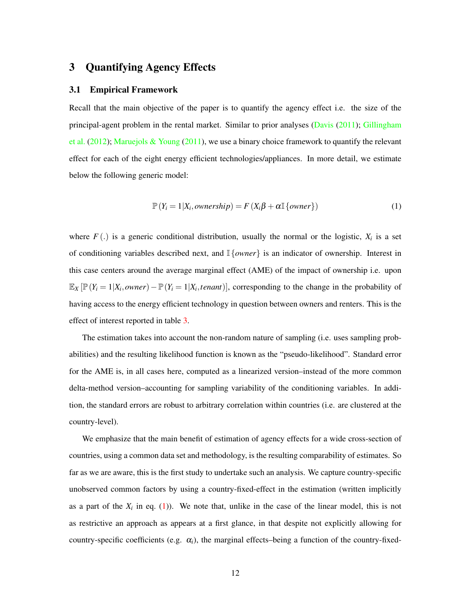## 3 Quantifying Agency Effects

#### 3.1 Empirical Framework

Recall that the main objective of the paper is to quantify the agency effect i.e. the size of the principal-agent problem in the rental market. Similar to prior analyses [\(Davis](#page-24-1) [\(2011\)](#page-24-1); [Gillingham](#page-24-2) [et al.](#page-24-2)  $(2012)$ ; [Maruejols & Young](#page-25-1)  $(2011)$ , we use a binary choice framework to quantify the relevant effect for each of the eight energy efficient technologies/appliances. In more detail, we estimate below the following generic model:

<span id="page-12-0"></span>
$$
\mathbb{P}\left(Y_i=1|X_i, ownership\right) = F\left(X_i\beta + \alpha \mathbb{I}\left\{owner\right\}\right) \tag{1}
$$

where  $F(.)$  is a generic conditional distribution, usually the normal or the logistic,  $X_i$  is a set of conditioning variables described next, and I{*owner*} is an indicator of ownership. Interest in this case centers around the average marginal effect (AME) of the impact of ownership i.e. upon  $\mathbb{E}_X[\mathbb{P}(Y_i=1|X_i, \text{owner}) - \mathbb{P}(Y_i=1|X_i, \text{tenant})]$ , corresponding to the change in the probability of having access to the energy efficient technology in question between owners and renters. This is the effect of interest reported in table [3.](#page-15-0)

The estimation takes into account the non-random nature of sampling (i.e. uses sampling probabilities) and the resulting likelihood function is known as the "pseudo-likelihood". Standard error for the AME is, in all cases here, computed as a linearized version–instead of the more common delta-method version–accounting for sampling variability of the conditioning variables. In addition, the standard errors are robust to arbitrary correlation within countries (i.e. are clustered at the country-level).

We emphasize that the main benefit of estimation of agency effects for a wide cross-section of countries, using a common data set and methodology, is the resulting comparability of estimates. So far as we are aware, this is the first study to undertake such an analysis. We capture country-specific unobserved common factors by using a country-fixed-effect in the estimation (written implicitly as a part of the  $X_i$  in eq. [\(1\)](#page-12-0)). We note that, unlike in the case of the linear model, this is not as restrictive an approach as appears at a first glance, in that despite not explicitly allowing for country-specific coefficients (e.g.  $\alpha_i$ ), the marginal effects–being a function of the country-fixed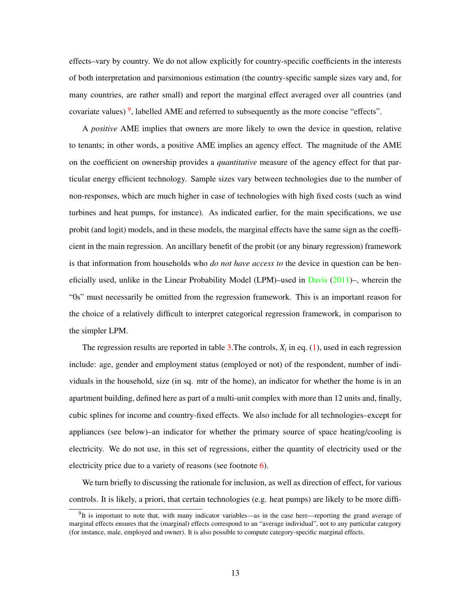effects–vary by country. We do not allow explicitly for country-specific coefficients in the interests of both interpretation and parsimonious estimation (the country-specific sample sizes vary and, for many countries, are rather small) and report the marginal effect averaged over all countries (and covariate values)  $9$ , labelled AME and referred to subsequently as the more concise "effects".

A *positive* AME implies that owners are more likely to own the device in question, relative to tenants; in other words, a positive AME implies an agency effect. The magnitude of the AME on the coefficient on ownership provides a *quantitative* measure of the agency effect for that particular energy efficient technology. Sample sizes vary between technologies due to the number of non-responses, which are much higher in case of technologies with high fixed costs (such as wind turbines and heat pumps, for instance). As indicated earlier, for the main specifications, we use probit (and logit) models, and in these models, the marginal effects have the same sign as the coefficient in the main regression. An ancillary benefit of the probit (or any binary regression) framework is that information from households who *do not have access to* the device in question can be ben-eficially used, unlike in the Linear Probability Model (LPM)–used in [Davis](#page-24-1)  $(2011)$ –, wherein the "0s" must necessarily be omitted from the regression framework. This is an important reason for the choice of a relatively difficult to interpret categorical regression framework, in comparison to the simpler LPM.

The regression results are reported in table  $3$ . The controls,  $X_i$  in eq. [\(1\)](#page-12-0), used in each regression include: age, gender and employment status (employed or not) of the respondent, number of individuals in the household, size (in sq. mtr of the home), an indicator for whether the home is in an apartment building, defined here as part of a multi-unit complex with more than 12 units and, finally, cubic splines for income and country-fixed effects. We also include for all technologies–except for appliances (see below)–an indicator for whether the primary source of space heating/cooling is electricity. We do not use, in this set of regressions, either the quantity of electricity used or the electricity price due to a variety of reasons (see footnote [6\)](#page-6-0).

We turn briefly to discussing the rationale for inclusion, as well as direction of effect, for various controls. It is likely, a priori, that certain technologies (e.g. heat pumps) are likely to be more diffi-

<sup>&</sup>lt;sup>9</sup>It is important to note that, with many indicator variables—as in the case here—reporting the grand average of marginal effects ensures that the (marginal) effects correspond to an "average individual", not to any particular category (for instance, male, employed and owner). It is also possible to compute category-specific marginal effects.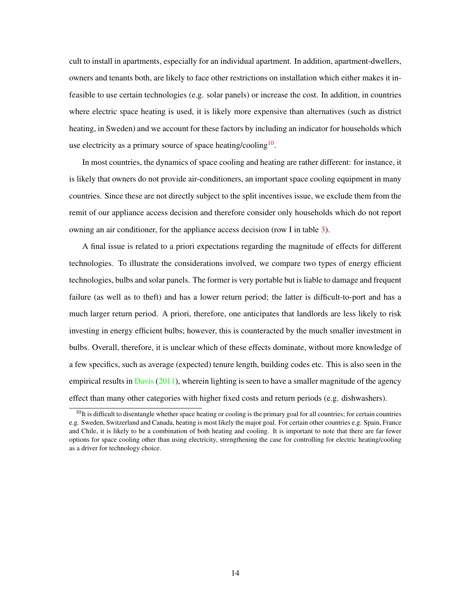cult to install in apartments, especially for an individual apartment. In addition, apartment-dwellers, owners and tenants both, are likely to face other restrictions on installation which either makes it infeasible to use certain technologies (e.g. solar panels) or increase the cost. In addition, in countries where electric space heating is used, it is likely more expensive than alternatives (such as district heating, in Sweden) and we account for these factors by including an indicator for households which use electricity as a primary source of space heating/cooling<sup>[10](#page-1-0)</sup>.

In most countries, the dynamics of space cooling and heating are rather different: for instance, it is likely that owners do not provide air-conditioners, an important space cooling equipment in many countries. Since these are not directly subject to the split incentives issue, we exclude them from the remit of our appliance access decision and therefore consider only households which do not report owning an air conditioner, for the appliance access decision (row I in table [3\)](#page-15-0).

A final issue is related to a priori expectations regarding the magnitude of effects for different technologies. To illustrate the considerations involved, we compare two types of energy efficient technologies, bulbs and solar panels. The former is very portable but is liable to damage and frequent failure (as well as to theft) and has a lower return period; the latter is difficult-to-port and has a much larger return period. A priori, therefore, one anticipates that landlords are less likely to risk investing in energy efficient bulbs; however, this is counteracted by the much smaller investment in bulbs. Overall, therefore, it is unclear which of these effects dominate, without more knowledge of a few specifics, such as average (expected) tenure length, building codes etc. This is also seen in the empirical results in [Davis](#page-24-1)  $(2011)$ , wherein lighting is seen to have a smaller magnitude of the agency effect than many other categories with higher fixed costs and return periods (e.g. dishwashers).

<span id="page-14-0"></span> $10$ It is difficult to disentangle whether space heating or cooling is the primary goal for all countries; for certain countries e.g. Sweden, Switzerland and Canada, heating is most likely the major goal. For certain other countries e.g. Spain, France and Chile, it is likely to be a combination of both heating and cooling. It is important to note that there are far fewer options for space cooling other than using electricity, strengthening the case for controlling for electric heating/cooling as a driver for technology choice.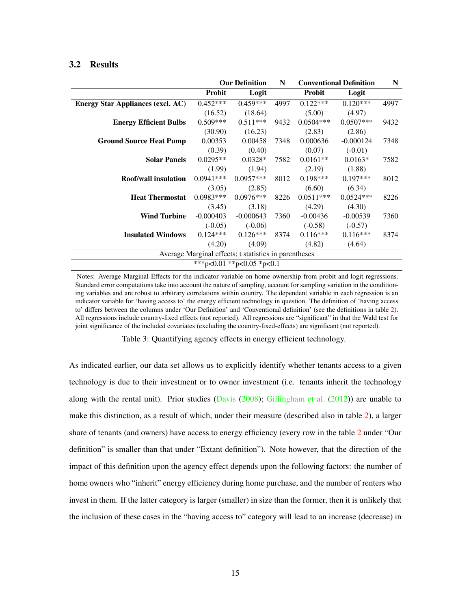### 3.2 Results

<span id="page-15-0"></span>

|                                                       |             | N                     |               |             |                                |  |
|-------------------------------------------------------|-------------|-----------------------|---------------|-------------|--------------------------------|--|
| Probit                                                | Logit       |                       | <b>Probit</b> | Logit       |                                |  |
| $0.452***$                                            | $0.459***$  | 4997                  | $0.122***$    | $0.120***$  | 4997                           |  |
| (16.52)                                               | (18.64)     |                       | (5.00)        | (4.97)      |                                |  |
| $0.509***$                                            | $0.511***$  | 9432                  | $0.0504***$   | $0.0507***$ | 9432                           |  |
| (30.90)                                               | (16.23)     |                       | (2.83)        | (2.86)      |                                |  |
| 0.00353                                               | 0.00458     | 7348                  | 0.000636      | $-0.000124$ | 7348                           |  |
| (0.39)                                                | (0.40)      |                       | (0.07)        | $(-0.01)$   |                                |  |
| $0.0295**$                                            | $0.0328*$   | 7582                  | $0.0161**$    | $0.0163*$   | 7582                           |  |
| (1.99)                                                | (1.94)      |                       | (2.19)        | (1.88)      |                                |  |
| $0.0941***$                                           | $0.0957***$ | 8012                  | $0.198***$    | $0.197***$  | 8012                           |  |
| (3.05)                                                | (2.85)      |                       | (6.60)        | (6.34)      |                                |  |
| $0.0983***$                                           | $0.0976***$ | 8226                  | $0.0511***$   | $0.0524***$ | 8226                           |  |
| (3.45)                                                | (3.18)      |                       | (4.29)        | (4.30)      |                                |  |
| $-0.000403$                                           | $-0.000643$ | 7360                  | $-0.00436$    | $-0.00539$  | 7360                           |  |
| $(-0.05)$                                             | $(-0.06)$   |                       | $(-0.58)$     | $(-0.57)$   |                                |  |
| $0.124***$                                            | $0.126***$  | 8374                  | $0.116***$    | $0.116***$  | 8374                           |  |
| (4.20)                                                | (4.09)      |                       | (4.82)        | (4.64)      |                                |  |
| Average Marginal effects; t statistics in parentheses |             |                       |               |             |                                |  |
| ***p<0.01 **p<0.05 *p<0.1                             |             |                       |               |             |                                |  |
|                                                       |             | <b>Our Definition</b> |               |             | <b>Conventional Definition</b> |  |

Notes: Average Marginal Effects for the indicator variable on home ownership from probit and logit regressions. Standard error computations take into account the nature of sampling, account for sampling variation in the conditioning variables and are robust to arbitrary correlations within country. The dependent variable in each regression is an indicator variable for 'having access to' the energy efficient technology in question. The definition of 'having access to' differs between the columns under 'Our Definition' and 'Conventional definition' (see the definitions in table [2\)](#page-10-0). All regressions include country-fixed effects (not reported). All regressions are "significant" in that the Wald test for joint significance of the included covariates (excluding the country-fixed-effects) are significant (not reported).

Table 3: Quantifying agency effects in energy efficient technology.

As indicated earlier, our data set allows us to explicitly identify whether tenants access to a given technology is due to their investment or to owner investment (i.e. tenants inherit the technology along with the rental unit). Prior studies [\(Davis](#page-24-4) [\(2008\)](#page-24-4); [Gillingham et al.](#page-24-2) [\(2012\)](#page-24-2)) are unable to make this distinction, as a result of which, under their measure (described also in table [2\)](#page-10-0), a larger share of tenants (and owners) have access to energy efficiency (every row in the table [2](#page-10-0) under "Our definition" is smaller than that under "Extant definition"). Note however, that the direction of the impact of this definition upon the agency effect depends upon the following factors: the number of home owners who "inherit" energy efficiency during home purchase, and the number of renters who invest in them. If the latter category is larger (smaller) in size than the former, then it is unlikely that the inclusion of these cases in the "having access to" category will lead to an increase (decrease) in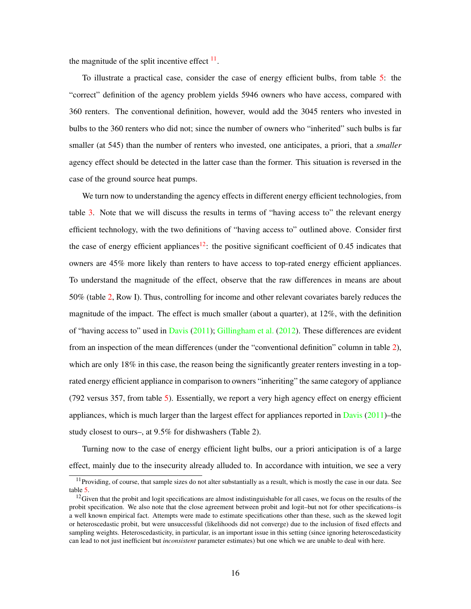the magnitude of the split incentive effect  $\frac{11}{1}$  $\frac{11}{1}$  $\frac{11}{1}$ .

To illustrate a practical case, consider the case of energy efficient bulbs, from table [5:](#page-26-0) the "correct" definition of the agency problem yields 5946 owners who have access, compared with 360 renters. The conventional definition, however, would add the 3045 renters who invested in bulbs to the 360 renters who did not; since the number of owners who "inherited" such bulbs is far smaller (at 545) than the number of renters who invested, one anticipates, a priori, that a *smaller* agency effect should be detected in the latter case than the former. This situation is reversed in the case of the ground source heat pumps.

We turn now to understanding the agency effects in different energy efficient technologies, from table [3.](#page-15-0) Note that we will discuss the results in terms of "having access to" the relevant energy efficient technology, with the two definitions of "having access to" outlined above. Consider first the case of energy efficient appliances<sup>[12](#page-1-0)</sup>: the positive significant coefficient of 0.45 indicates that owners are 45% more likely than renters to have access to top-rated energy efficient appliances. To understand the magnitude of the effect, observe that the raw differences in means are about 50% (table [2,](#page-10-0) Row I). Thus, controlling for income and other relevant covariates barely reduces the magnitude of the impact. The effect is much smaller (about a quarter), at  $12\%$ , with the definition of "having access to" used in [Davis](#page-24-1) [\(2011\)](#page-24-1); [Gillingham et al.](#page-24-2) [\(2012\)](#page-24-2). These differences are evident from an inspection of the mean differences (under the "conventional definition" column in table [2\)](#page-10-0), which are only  $18\%$  in this case, the reason being the significantly greater renters investing in a toprated energy efficient appliance in comparison to owners "inheriting" the same category of appliance (792 versus 357, from table [5\)](#page-26-0). Essentially, we report a very high agency effect on energy efficient appliances, which is much larger than the largest effect for appliances reported in [Davis](#page-24-1) [\(2011\)](#page-24-1)–the study closest to ours–, at 9.5% for dishwashers (Table 2).

Turning now to the case of energy efficient light bulbs, our a priori anticipation is of a large effect, mainly due to the insecurity already alluded to. In accordance with intuition, we see a very

 $11$ Providing, of course, that sample sizes do not alter substantially as a result, which is mostly the case in our data. See table [5.](#page-26-0)

 $12$  Given that the probit and logit specifications are almost indistinguishable for all cases, we focus on the results of the probit specification. We also note that the close agreement between probit and logit–but not for other specifications–is a well known empirical fact. Attempts were made to estimate specifications other than these, such as the skewed logit or heteroscedastic probit, but were unsuccessful (likelihoods did not converge) due to the inclusion of fixed effects and sampling weights. Heteroscedasticity, in particular, is an important issue in this setting (since ignoring heteroscedasticity can lead to not just inefficient but *inconsistent* parameter estimates) but one which we are unable to deal with here.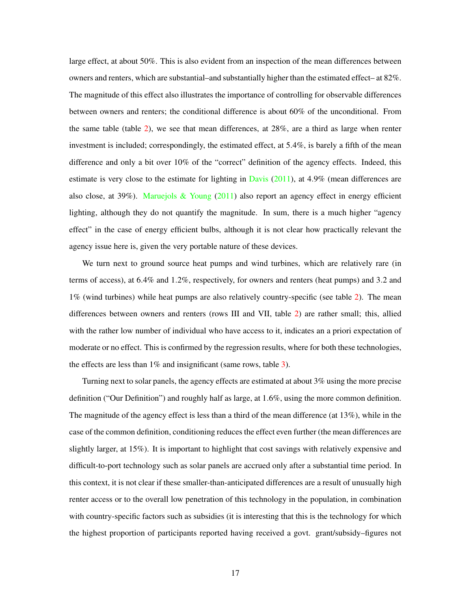large effect, at about 50%. This is also evident from an inspection of the mean differences between owners and renters, which are substantial–and substantially higher than the estimated effect– at 82%. The magnitude of this effect also illustrates the importance of controlling for observable differences between owners and renters; the conditional difference is about 60% of the unconditional. From the same table (table [2\)](#page-10-0), we see that mean differences, at 28%, are a third as large when renter investment is included; correspondingly, the estimated effect, at 5.4%, is barely a fifth of the mean difference and only a bit over 10% of the "correct" definition of the agency effects. Indeed, this estimate is very close to the estimate for lighting in [Davis](#page-24-1)  $(2011)$ , at 4.9% (mean differences are also close, at 39%). [Maruejols & Young](#page-25-1)  $(2011)$  also report an agency effect in energy efficient lighting, although they do not quantify the magnitude. In sum, there is a much higher "agency effect" in the case of energy efficient bulbs, although it is not clear how practically relevant the agency issue here is, given the very portable nature of these devices.

We turn next to ground source heat pumps and wind turbines, which are relatively rare (in terms of access), at 6.4% and 1.2%, respectively, for owners and renters (heat pumps) and 3.2 and 1% (wind turbines) while heat pumps are also relatively country-specific (see table [2\)](#page-10-0). The mean differences between owners and renters (rows III and VII, table [2\)](#page-10-0) are rather small; this, allied with the rather low number of individual who have access to it, indicates an a priori expectation of moderate or no effect. This is confirmed by the regression results, where for both these technologies, the effects are less than  $1\%$  and insignificant (same rows, table [3\)](#page-15-0).

Turning next to solar panels, the agency effects are estimated at about 3% using the more precise definition ("Our Definition") and roughly half as large, at 1.6%, using the more common definition. The magnitude of the agency effect is less than a third of the mean difference (at 13%), while in the case of the common definition, conditioning reduces the effect even further (the mean differences are slightly larger, at 15%). It is important to highlight that cost savings with relatively expensive and difficult-to-port technology such as solar panels are accrued only after a substantial time period. In this context, it is not clear if these smaller-than-anticipated differences are a result of unusually high renter access or to the overall low penetration of this technology in the population, in combination with country-specific factors such as subsidies (it is interesting that this is the technology for which the highest proportion of participants reported having received a govt. grant/subsidy–figures not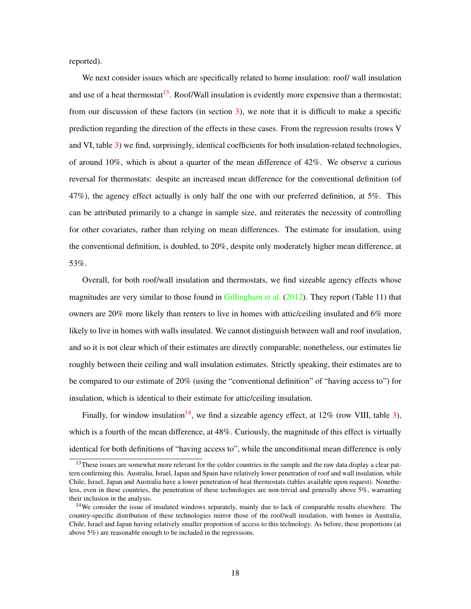reported).

We next consider issues which are specifically related to home insulation: roof/ wall insulation and use of a heat thermostat<sup>[13](#page-1-0)</sup>. Roof/Wall insulation is evidently more expensive than a thermostat; from our discussion of these factors (in section [3\)](#page-11-0), we note that it is difficult to make a specific prediction regarding the direction of the effects in these cases. From the regression results (rows V and VI, table [3\)](#page-15-0) we find, surprisingly, identical coefficients for both insulation-related technologies, of around  $10\%$ , which is about a quarter of the mean difference of  $42\%$ . We observe a curious reversal for thermostats: despite an increased mean difference for the conventional definition (of 47%), the agency effect actually is only half the one with our preferred definition, at 5%. This can be attributed primarily to a change in sample size, and reiterates the necessity of controlling for other covariates, rather than relying on mean differences. The estimate for insulation, using the conventional definition, is doubled, to 20%, despite only moderately higher mean difference, at 53%.

Overall, for both roof/wall insulation and thermostats, we find sizeable agency effects whose magnitudes are very similar to those found in [Gillingham et al.](#page-24-2) [\(2012\)](#page-24-2). They report (Table 11) that owners are 20% more likely than renters to live in homes with attic/ceiling insulated and 6% more likely to live in homes with walls insulated. We cannot distinguish between wall and roof insulation, and so it is not clear which of their estimates are directly comparable; nonetheless, our estimates lie roughly between their ceiling and wall insulation estimates. Strictly speaking, their estimates are to be compared to our estimate of 20% (using the "conventional definition" of "having access to") for insulation, which is identical to their estimate for attic/ceiling insulation.

Finally, for window insulation<sup>[14](#page-1-0)</sup>, we find a sizeable agency effect, at  $12\%$  (row VIII, table [3\)](#page-15-0), which is a fourth of the mean difference, at 48%. Curiously, the magnitude of this effect is virtually identical for both definitions of "having access to", while the unconditional mean difference is only

 $13$ These issues are somewhat more relevant for the colder countries in the sample and the raw data display a clear pattern confirming this. Australia, Israel, Japan and Spain have relatively lower penetration of roof and wall insulation, while Chile, Israel, Japan and Australia have a lower penetration of heat thermostats (tables available upon request). Nonetheless, even in these countries, the penetration of these technologies are non-trivial and generally above 5%, warranting their inclusion in the analysis.

<sup>&</sup>lt;sup>14</sup>We consider the issue of insulated windows separately, mainly due to lack of comparable results elsewhere. The country-specific distribution of these technologies mirror those of the roof/wall insulation, with homes in Australia, Chile, Israel and Japan having relatively smaller proportion of access to this technology. As before, these proportions (at above 5%) are reasonable enough to be included in the regressions.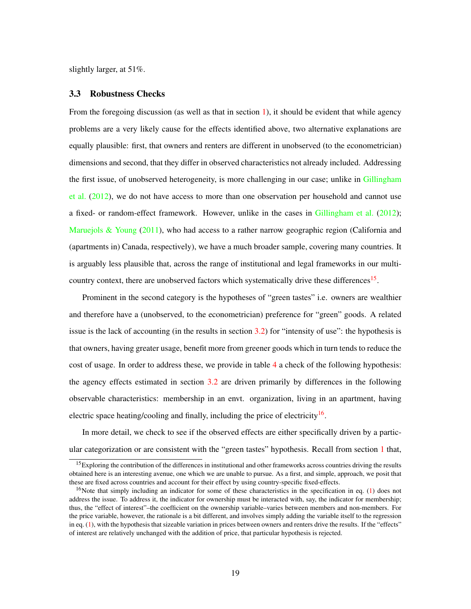<span id="page-19-0"></span>slightly larger, at 51%.

#### 3.3 Robustness Checks

From the foregoing discussion (as well as that in section [1\)](#page-2-0), it should be evident that while agency problems are a very likely cause for the effects identified above, two alternative explanations are equally plausible: first, that owners and renters are different in unobserved (to the econometrician) dimensions and second, that they differ in observed characteristics not already included. Addressing the first issue, of unobserved heterogeneity, is more challenging in our case; unlike in [Gillingham](#page-24-2) [et al.](#page-24-2)  $(2012)$ , we do not have access to more than one observation per household and cannot use a fixed- or random-effect framework. However, unlike in the cases in [Gillingham et al.](#page-24-2) [\(2012\)](#page-24-2); Maruejols  $\&$  Young [\(2011\)](#page-25-1), who had access to a rather narrow geographic region (California and (apartments in) Canada, respectively), we have a much broader sample, covering many countries. It is arguably less plausible that, across the range of institutional and legal frameworks in our multi-country context, there are unobserved factors which systematically drive these differences<sup>[15](#page-1-0)</sup>.

Prominent in the second category is the hypotheses of "green tastes" i.e. owners are wealthier and therefore have a (unobserved, to the econometrician) preference for "green" goods. A related issue is the lack of accounting (in the results in section  $3.2$ ) for "intensity of use": the hypothesis is that owners, having greater usage, benefit more from greener goods which in turn tends to reduce the cost of usage. In order to address these, we provide in table [4](#page-20-0) a check of the following hypothesis: the agency effects estimated in section [3.2](#page-14-0) are driven primarily by differences in the following observable characteristics: membership in an envt. organization, living in an apartment, having electric space heating/cooling and finally, including the price of electricity<sup>[16](#page-1-0)</sup>.

In more detail, we check to see if the observed effects are either specifically driven by a particular categorization or are consistent with the "green tastes" hypothesis. Recall from section [1](#page-2-0) that,

<sup>&</sup>lt;sup>15</sup>Exploring the contribution of the differences in institutional and other frameworks across countries driving the results obtained here is an interesting avenue, one which we are unable to pursue. As a first, and simple, approach, we posit that these are fixed across countries and account for their effect by using country-specific fixed-effects.

<sup>&</sup>lt;sup>16</sup>Note that simply including an indicator for some of these characteristics in the specification in eq. [\(1\)](#page-12-0) does not address the issue. To address it, the indicator for ownership must be interacted with, say, the indicator for membership; thus, the "effect of interest"–the coefficient on the ownership variable–varies between members and non-members. For the price variable, however, the rationale is a bit different, and involves simply adding the variable itself to the regression in eq. [\(1\)](#page-12-0), with the hypothesis that sizeable variation in prices between owners and renters drive the results. If the "effects" of interest are relatively unchanged with the addition of price, that particular hypothesis is rejected.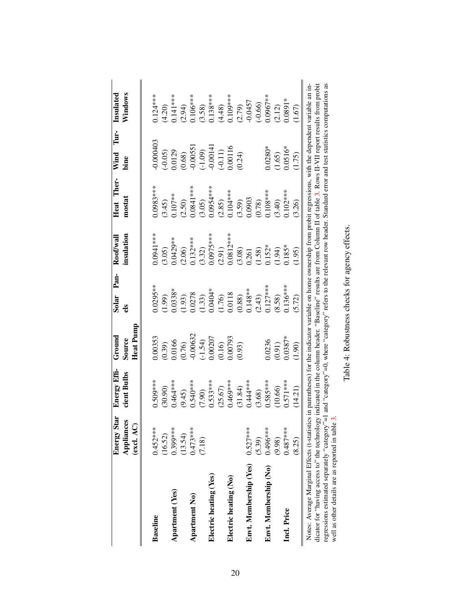<span id="page-20-0"></span>

|                                                                                                                                                                                                                          | Energy Star<br>Appliances | Energy Effi-<br>cient Bulbs | Ground<br>Source                           | Pan-<br>Solar<br>els                             | insulation<br>Roof/wall                      | Heat Ther-<br>mostat  | Tur-<br>Wind<br>bine                                                               | Windows<br>Insulated  |
|--------------------------------------------------------------------------------------------------------------------------------------------------------------------------------------------------------------------------|---------------------------|-----------------------------|--------------------------------------------|--------------------------------------------------|----------------------------------------------|-----------------------|------------------------------------------------------------------------------------|-----------------------|
|                                                                                                                                                                                                                          | (excl. AC)                |                             | Heat Pump                                  |                                                  |                                              |                       |                                                                                    |                       |
| <b>Baseline</b>                                                                                                                                                                                                          | $0.452***$                | $0.509***$                  | 0.00353                                    | $0.0295***$                                      | 1.0941 ***                                   | $0.0983***$           | 0.000403                                                                           | $0.124***$            |
|                                                                                                                                                                                                                          | (16.52)                   | (30.90)                     |                                            |                                                  |                                              |                       | $(-0.05)$                                                                          |                       |
| Apartment (Yes)                                                                                                                                                                                                          | $0.399***$                | $0.464***$                  | $(0.39)$<br>$0.0166$                       | $(1.99)$<br>$0.0338*$                            | $(3.05)$<br>$0.0429**$                       | $(3.45)$<br>0.107**   |                                                                                    | $(4.20)$<br>0.141***  |
|                                                                                                                                                                                                                          | (13.54)                   | (9.45)                      | $(0.76)$<br>-0.00632<br>(-1.54)<br>0.00207 |                                                  |                                              | $(2.50)$<br>0.0841*** | $\begin{array}{c} 0.0129 \\ (0.68) \\ -0.00551 \\ (-1.09) \\ -0.00141 \end{array}$ | $(2.94)$<br>0.106***  |
| <b>Apartment No</b> )                                                                                                                                                                                                    | $0.473***$                | $0.540***$                  |                                            | $(1.93)$<br>$0.0278$                             | $(2.06)$<br>0.132***                         |                       |                                                                                    |                       |
|                                                                                                                                                                                                                          | (7.18)                    | (7.90)                      |                                            | $(1.33)$<br>$0.0404*$                            |                                              | (3.05)                |                                                                                    | $(3.58)$<br>0.138***  |
| Electric heating (Yes)                                                                                                                                                                                                   |                           | $.533***$                   |                                            |                                                  |                                              | $0.0954***$           |                                                                                    |                       |
|                                                                                                                                                                                                                          |                           | (25.67)                     | (0.16)                                     |                                                  | $(3.32)$<br>0.0975***<br>(2.91)<br>0.0812*** |                       | $(-0.11)$<br>0.00116                                                               | $(4.48)$<br>0.109***  |
| Electric heating (No)                                                                                                                                                                                                    |                           | 1.469****                   | 0.00793                                    | $(1.76)$<br>0.0118                               |                                              | $(2.85)$<br>0.104***  |                                                                                    |                       |
|                                                                                                                                                                                                                          |                           | (31.84)                     | (0.93)                                     |                                                  |                                              |                       | (0.24)                                                                             |                       |
| Envt. Membership (Yes)                                                                                                                                                                                                   | $0.527***$                | $0.444***$                  |                                            | $\begin{array}{c} (0.88) \\ 0.148** \end{array}$ | $(3.08)$<br>0.261                            | $(3.59)$<br>0.0903    |                                                                                    | $(2.79)$<br>$-0.0457$ |
|                                                                                                                                                                                                                          | (5.39)                    | (3.68)                      |                                            | $(2.43)$<br>0.127***                             |                                              | $(0.78)$<br>0.108***  |                                                                                    | $(-0.66)$             |
| Envt. Membership (No)                                                                                                                                                                                                    | 0.496***                  | $0.585***$                  | 0.0236                                     |                                                  | $(1.58)$<br>$0.152*$                         |                       | $0.0280*$                                                                          | $0.0967**$            |
|                                                                                                                                                                                                                          | (9.98)                    | (10.66)                     | (0.91)                                     | (8.58)                                           | (1.94)                                       | (3.40)                | (1.65)                                                                             | (2.12)                |
| Ind. Price                                                                                                                                                                                                               | $0.487***$                | $0.571***$                  | $0.0387*$                                  | $0.136***$                                       | $0.185*$                                     | $0.102***$            | $0.0516*$                                                                          | $0.0891*$             |
|                                                                                                                                                                                                                          | (8.25)                    | (14.21)                     | (1.90)                                     | (5.72)                                           | (1.95)                                       | (3.26)                | (1.75)                                                                             | $1.67)$               |
| Notes: Average Marginal Effects (t-statistics in parentheses) for the indicator variable on home ownership from probit regressions, with the dependent variable an in-                                                   |                           |                             |                                            |                                                  |                                              |                       |                                                                                    |                       |
| dicator for "having access to" the technology indicated in the column header. "Baseline" results are from Column II of table 3. Rows II-VII report results from probit                                                   |                           |                             |                                            |                                                  |                                              |                       |                                                                                    |                       |
| regressions estimated separately "category"=1 and "category"=0, where "category" refers to the relevant row header. Standard error and test statistics computations as<br>well as other details are as reported in table |                           |                             |                                            |                                                  |                                              |                       |                                                                                    |                       |

|                                            | $+2.7$<br>くうきく<br>֧֖֧֧֧֧֧֧֚֚֚֚֚֚֚֚֚֚֚֚֚֚֚֚֚֚֚֚֚֚֚֚֚֚֝֝֝֝֝֝֝֓֝֬֝֓֝֬֝֓֝֬֝֓֝֬֝֬֝֬<br>į<br>$\frac{1}{2}$<br>י<br>:<br>י<br>ļ<br>-<br>E |
|--------------------------------------------|------------------------------------------------------------------------------------------------------------------------------------|
| $\frac{1}{2}$<br>،<br>با<br>$\overline{1}$ |                                                                                                                                    |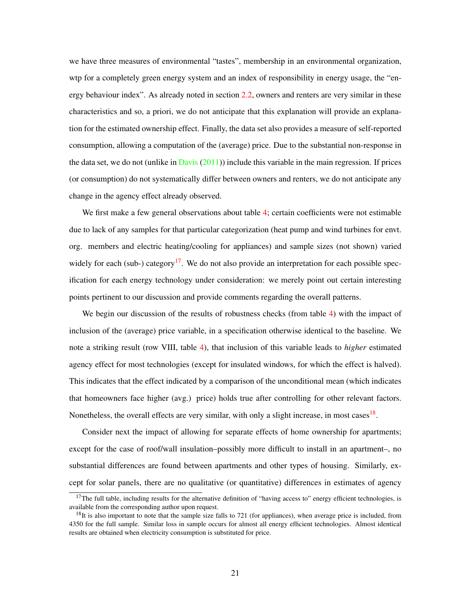we have three measures of environmental "tastes", membership in an environmental organization, wtp for a completely green energy system and an index of responsibility in energy usage, the "energy behaviour index". As already noted in section [2.2,](#page-8-0) owners and renters are very similar in these characteristics and so, a priori, we do not anticipate that this explanation will provide an explanation for the estimated ownership effect. Finally, the data set also provides a measure of self-reported consumption, allowing a computation of the (average) price. Due to the substantial non-response in the data set, we do not (unlike in  $\square$ avis [\(2011\)](#page-24-1)) include this variable in the main regression. If prices (or consumption) do not systematically differ between owners and renters, we do not anticipate any change in the agency effect already observed.

We first make a few general observations about table [4;](#page-20-0) certain coefficients were not estimable due to lack of any samples for that particular categorization (heat pump and wind turbines for envt. org. members and electric heating/cooling for appliances) and sample sizes (not shown) varied widely for each (sub-) category<sup>[17](#page-1-0)</sup>. We do not also provide an interpretation for each possible specification for each energy technology under consideration: we merely point out certain interesting points pertinent to our discussion and provide comments regarding the overall patterns.

We begin our discussion of the results of robustness checks (from table [4\)](#page-20-0) with the impact of inclusion of the (average) price variable, in a specification otherwise identical to the baseline. We note a striking result (row VIII, table [4\)](#page-20-0), that inclusion of this variable leads to *higher* estimated agency effect for most technologies (except for insulated windows, for which the effect is halved). This indicates that the effect indicated by a comparison of the unconditional mean (which indicates that homeowners face higher (avg.) price) holds true after controlling for other relevant factors. Nonetheless, the overall effects are very similar, with only a slight increase, in most cases  $18$ .

Consider next the impact of allowing for separate effects of home ownership for apartments; except for the case of roof/wall insulation–possibly more difficult to install in an apartment–, no substantial differences are found between apartments and other types of housing. Similarly, except for solar panels, there are no qualitative (or quantitative) differences in estimates of agency

 $17$ The full table, including results for the alternative definition of "having access to" energy efficient technologies, is available from the corresponding author upon request.

 $18$ It is also important to note that the sample size falls to 721 (for appliances), when average price is included, from 4350 for the full sample. Similar loss in sample occurs for almost all energy efficient technologies. Almost identical results are obtained when electricity consumption is substituted for price.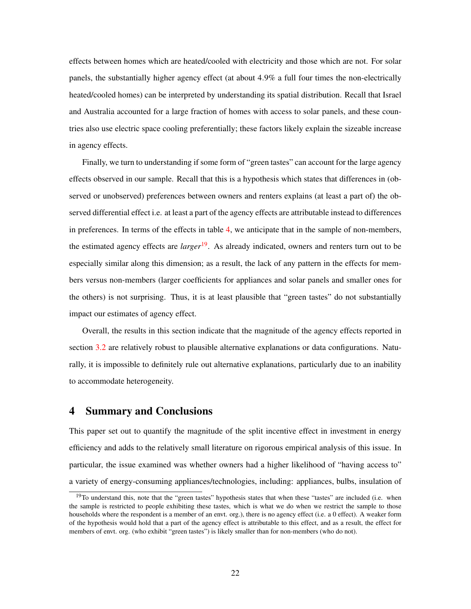effects between homes which are heated/cooled with electricity and those which are not. For solar panels, the substantially higher agency effect (at about 4.9% a full four times the non-electrically heated/cooled homes) can be interpreted by understanding its spatial distribution. Recall that Israel and Australia accounted for a large fraction of homes with access to solar panels, and these countries also use electric space cooling preferentially; these factors likely explain the sizeable increase in agency effects.

Finally, we turn to understanding if some form of "green tastes" can account for the large agency effects observed in our sample. Recall that this is a hypothesis which states that differences in (observed or unobserved) preferences between owners and renters explains (at least a part of) the observed differential effect i.e. at least a part of the agency effects are attributable instead to differences in preferences. In terms of the effects in table  $4$ , we anticipate that in the sample of non-members, the estimated agency effects are *larger*[19](#page-1-0). As already indicated, owners and renters turn out to be especially similar along this dimension; as a result, the lack of any pattern in the effects for members versus non-members (larger coefficients for appliances and solar panels and smaller ones for the others) is not surprising. Thus, it is at least plausible that "green tastes" do not substantially impact our estimates of agency effect.

Overall, the results in this section indicate that the magnitude of the agency effects reported in section [3.2](#page-14-0) are relatively robust to plausible alternative explanations or data configurations. Naturally, it is impossible to definitely rule out alternative explanations, particularly due to an inability to accommodate heterogeneity.

## <span id="page-22-0"></span>4 Summary and Conclusions

This paper set out to quantify the magnitude of the split incentive effect in investment in energy efficiency and adds to the relatively small literature on rigorous empirical analysis of this issue. In particular, the issue examined was whether owners had a higher likelihood of "having access to" a variety of energy-consuming appliances/technologies, including: appliances, bulbs, insulation of

<sup>&</sup>lt;sup>19</sup>To understand this, note that the "green tastes" hypothesis states that when these "tastes" are included (i.e. when the sample is restricted to people exhibiting these tastes, which is what we do when we restrict the sample to those households where the respondent is a member of an envt. org.), there is no agency effect (i.e. a 0 effect). A weaker form of the hypothesis would hold that a part of the agency effect is attributable to this effect, and as a result, the effect for members of envt. org. (who exhibit "green tastes") is likely smaller than for non-members (who do not).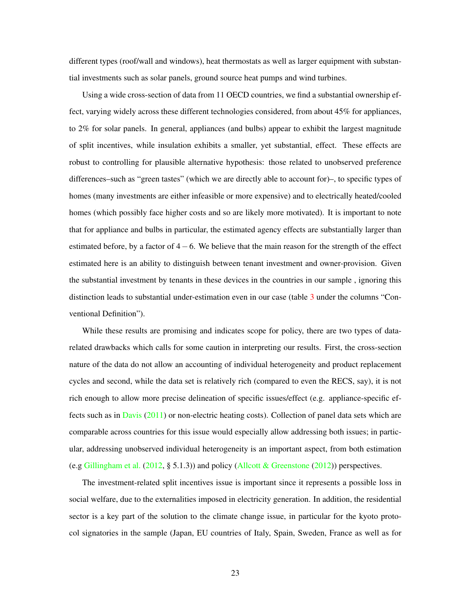different types (roof/wall and windows), heat thermostats as well as larger equipment with substantial investments such as solar panels, ground source heat pumps and wind turbines.

Using a wide cross-section of data from 11 OECD countries, we find a substantial ownership effect, varying widely across these different technologies considered, from about 45% for appliances, to 2% for solar panels. In general, appliances (and bulbs) appear to exhibit the largest magnitude of split incentives, while insulation exhibits a smaller, yet substantial, effect. These effects are robust to controlling for plausible alternative hypothesis: those related to unobserved preference differences–such as "green tastes" (which we are directly able to account for)–, to specific types of homes (many investments are either infeasible or more expensive) and to electrically heated/cooled homes (which possibly face higher costs and so are likely more motivated). It is important to note that for appliance and bulbs in particular, the estimated agency effects are substantially larger than estimated before, by a factor of  $4-6$ . We believe that the main reason for the strength of the effect estimated here is an ability to distinguish between tenant investment and owner-provision. Given the substantial investment by tenants in these devices in the countries in our sample , ignoring this distinction leads to substantial under-estimation even in our case (table [3](#page-15-0) under the columns "Conventional Definition").

While these results are promising and indicates scope for policy, there are two types of datarelated drawbacks which calls for some caution in interpreting our results. First, the cross-section nature of the data do not allow an accounting of individual heterogeneity and product replacement cycles and second, while the data set is relatively rich (compared to even the RECS, say), it is not rich enough to allow more precise delineation of specific issues/effect (e.g. appliance-specific effects such as in [Davis](#page-24-1) [\(2011\)](#page-24-1) or non-electric heating costs). Collection of panel data sets which are comparable across countries for this issue would especially allow addressing both issues; in particular, addressing unobserved individual heterogeneity is an important aspect, from both estimation (e.g [Gillingham et al.](#page-24-2) [\(2012,](#page-24-2) § 5.1.3)) and policy [\(Allcott & Greenstone](#page-24-0) [\(2012\)](#page-24-0)) perspectives.

The investment-related split incentives issue is important since it represents a possible loss in social welfare, due to the externalities imposed in electricity generation. In addition, the residential sector is a key part of the solution to the climate change issue, in particular for the kyoto protocol signatories in the sample (Japan, EU countries of Italy, Spain, Sweden, France as well as for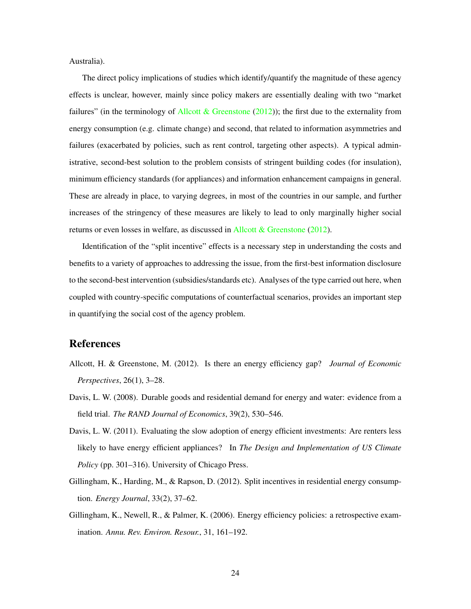Australia).

The direct policy implications of studies which identify/quantify the magnitude of these agency effects is unclear, however, mainly since policy makers are essentially dealing with two "market failures" (in the terminology of [Allcott & Greenstone](#page-24-0)  $(2012)$ ); the first due to the externality from energy consumption (e.g. climate change) and second, that related to information asymmetries and failures (exacerbated by policies, such as rent control, targeting other aspects). A typical administrative, second-best solution to the problem consists of stringent building codes (for insulation), minimum efficiency standards (for appliances) and information enhancement campaigns in general. These are already in place, to varying degrees, in most of the countries in our sample, and further increases of the stringency of these measures are likely to lead to only marginally higher social returns or even losses in welfare, as discussed in [Allcott & Greenstone](#page-24-0)  $(2012)$ .

Identification of the "split incentive" effects is a necessary step in understanding the costs and benefits to a variety of approaches to addressing the issue, from the first-best information disclosure to the second-best intervention (subsidies/standards etc). Analyses of the type carried out here, when coupled with country-specific computations of counterfactual scenarios, provides an important step in quantifying the social cost of the agency problem.

## <span id="page-24-0"></span>References

- Allcott, H. & Greenstone, M. (2012). Is there an energy efficiency gap? *Journal of Economic Perspectives*, 26(1), 3–28.
- <span id="page-24-4"></span>Davis, L. W. (2008). Durable goods and residential demand for energy and water: evidence from a field trial. *The RAND Journal of Economics*, 39(2), 530–546.
- <span id="page-24-1"></span>Davis, L. W. (2011). Evaluating the slow adoption of energy efficient investments: Are renters less likely to have energy efficient appliances? In *The Design and Implementation of US Climate Policy* (pp. 301–316). University of Chicago Press.
- <span id="page-24-2"></span>Gillingham, K., Harding, M., & Rapson, D. (2012). Split incentives in residential energy consumption. *Energy Journal*, 33(2), 37–62.
- <span id="page-24-3"></span>Gillingham, K., Newell, R., & Palmer, K. (2006). Energy efficiency policies: a retrospective examination. *Annu. Rev. Environ. Resour.*, 31, 161–192.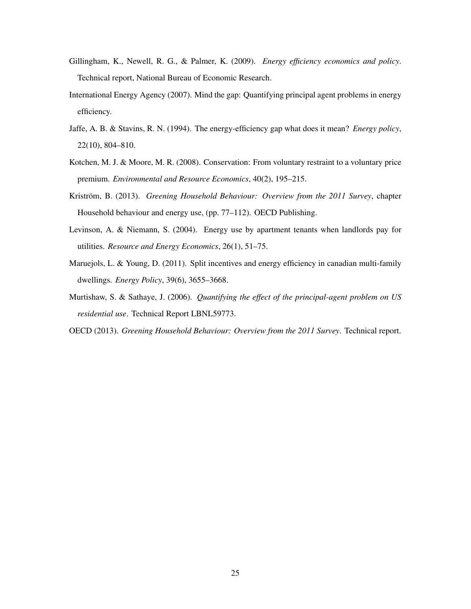- <span id="page-25-3"></span>Gillingham, K., Newell, R. G., & Palmer, K. (2009). *Energy efficiency economics and policy*. Technical report, National Bureau of Economic Research.
- <span id="page-25-0"></span>International Energy Agency (2007). Mind the gap: Quantifying principal agent problems in energy efficiency.
- <span id="page-25-2"></span>Jaffe, A. B. & Stavins, R. N. (1994). The energy-efficiency gap what does it mean? *Energy policy*, 22(10), 804–810.
- <span id="page-25-8"></span>Kotchen, M. J. & Moore, M. R. (2008). Conservation: From voluntary restraint to a voluntary price premium. *Environmental and Resource Economics*, 40(2), 195–215.
- <span id="page-25-7"></span>Kriström, B. (2013). *Greening Household Behaviour: Overview from the 2011 Survey*, chapter Household behaviour and energy use, (pp. 77–112). OECD Publishing.
- <span id="page-25-5"></span>Levinson, A. & Niemann, S. (2004). Energy use by apartment tenants when landlords pay for utilities. *Resource and Energy Economics*, 26(1), 51–75.
- <span id="page-25-1"></span>Maruejols, L. & Young, D. (2011). Split incentives and energy efficiency in canadian multi-family dwellings. *Energy Policy*, 39(6), 3655–3668.
- <span id="page-25-4"></span>Murtishaw, S. & Sathaye, J. (2006). *Quantifying the effect of the principal-agent problem on US residential use*. Technical Report LBNL59773.

<span id="page-25-6"></span>OECD (2013). *Greening Household Behaviour: Overview from the 2011 Survey*. Technical report.